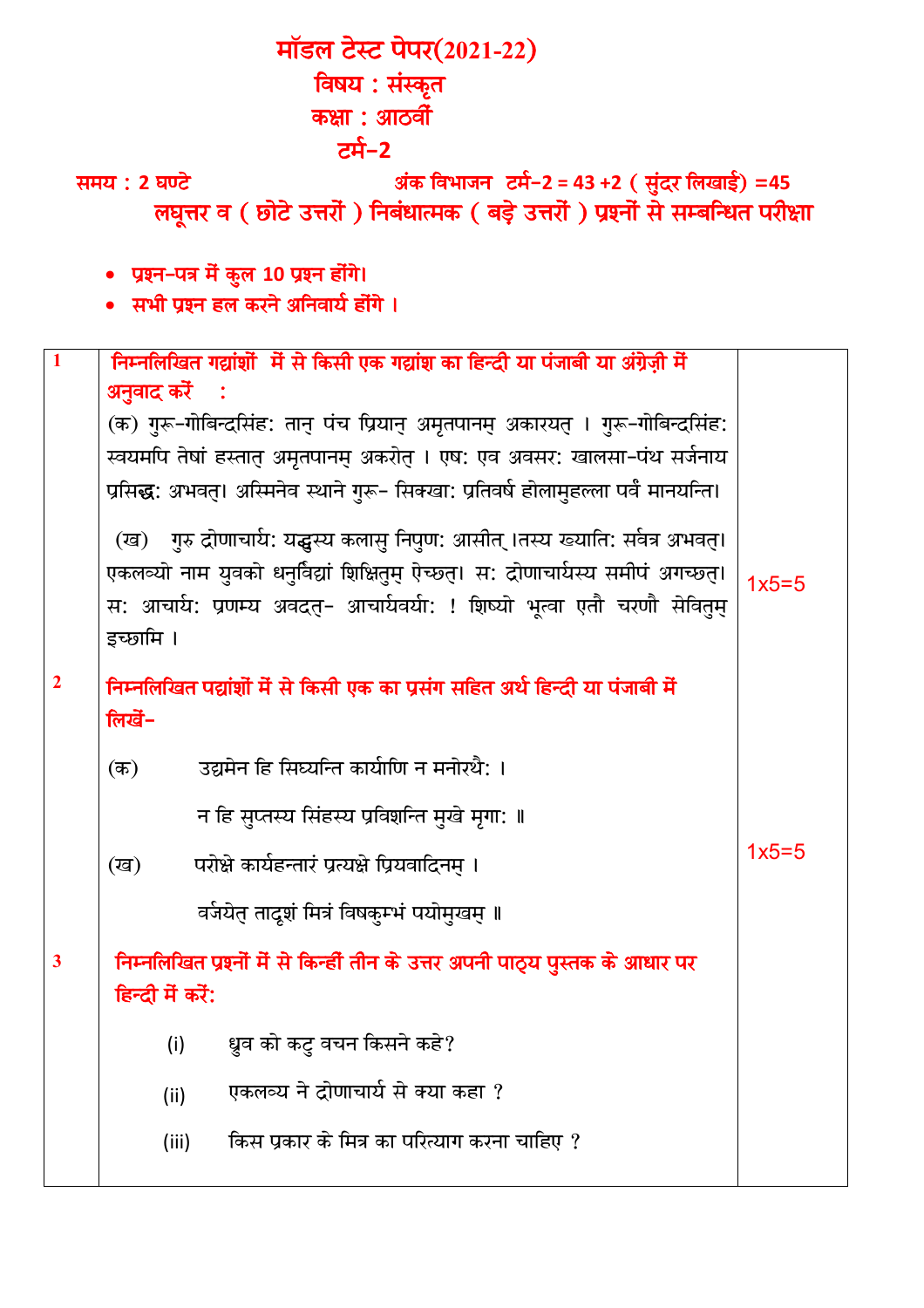| मॉडल टेस्ट पेपर(2021-22)                                                             |                                                                                      |         |  |  |  |  |  |  |  |
|--------------------------------------------------------------------------------------|--------------------------------------------------------------------------------------|---------|--|--|--|--|--|--|--|
| विषय : संस्कृत                                                                       |                                                                                      |         |  |  |  |  |  |  |  |
| कक्षा : आठवीं                                                                        |                                                                                      |         |  |  |  |  |  |  |  |
| टर्म-2                                                                               |                                                                                      |         |  |  |  |  |  |  |  |
| अंक विभाजन) टर्म-2 = 43 +2 ( सुंदर लिखाई) =45<br>समय : 2 घण्टे                       |                                                                                      |         |  |  |  |  |  |  |  |
| लघूत्तर व ( छोटे उत्तरों ) निबंधात्मक ( बड़े उत्तरों ) प्रश्नों से सम्बन्धित परीक्षा |                                                                                      |         |  |  |  |  |  |  |  |
| • प्रश्न-पत्र में कुल 10 प्रश्न होंगे।                                               |                                                                                      |         |  |  |  |  |  |  |  |
| • सभी प्रश्न हल करने अनिवार्य होंगे ।                                                |                                                                                      |         |  |  |  |  |  |  |  |
|                                                                                      |                                                                                      |         |  |  |  |  |  |  |  |
| $\mathbf{1}$                                                                         | निम्नलिखित गद्यांशों में से किसी एक गद्यांश का हिन्दी या पंजाबी या अंग्रेज़ी में     |         |  |  |  |  |  |  |  |
|                                                                                      | अनुवाद करें<br>$\mathbb{R}^2$                                                        |         |  |  |  |  |  |  |  |
|                                                                                      | (क) गुरू-गोबिन्दसिंह: तान् पंच प्रियान् अमृतपानम् अकारयत् । गुरू-गोबिन्दसिंह:        |         |  |  |  |  |  |  |  |
|                                                                                      | स्वयमपि तेषां हस्तात् अमृतपानम् अकरोत् । एष: एव अवसर: खालसा-पंथ सर्जनाय              |         |  |  |  |  |  |  |  |
|                                                                                      | प्रसिद्ध: अभवत्। अस्मिनेव स्थाने गुरू- सिक्खा: प्रतिवर्ष होलामुहल्ला पर्वं मानयन्ति। |         |  |  |  |  |  |  |  |
|                                                                                      | (ख) गुरु द्रोणाचार्य: यद्धस्य कलासु निपुण: आसीत् ।तस्य ख्याति: सर्वत्र अभवत्।        |         |  |  |  |  |  |  |  |
|                                                                                      | एकलव्यो नाम युवको धनुर्विद्यां शिक्षितुम् ऐच्छत्। स: द्रोणाचार्यस्य समीपं अगच्छत्।   | $1x5=5$ |  |  |  |  |  |  |  |
|                                                                                      | स: आचार्य: प्रणम्य अवदत्- आचार्यवर्या: ! शिष्यो भूत्वा एतौ चरणौ सेवितुम्             |         |  |  |  |  |  |  |  |
|                                                                                      | इच्छामि ।                                                                            |         |  |  |  |  |  |  |  |
| $\overline{2}$                                                                       | निम्नलिखित पद्यांशों में से किसी एक का प्रसंग सहित अर्थ हिन्दी या पंजाबी में         |         |  |  |  |  |  |  |  |
|                                                                                      | लिखें-                                                                               |         |  |  |  |  |  |  |  |
|                                                                                      | उद्यमेन हि सिघ्यन्ति कार्याणि न मनोरथै: ।<br>$($ क)                                  |         |  |  |  |  |  |  |  |
|                                                                                      |                                                                                      |         |  |  |  |  |  |  |  |
|                                                                                      | न हि सुप्तस्य सिंहस्य प्रविशन्ति मुखे मृगा: ॥                                        |         |  |  |  |  |  |  |  |
|                                                                                      | परोक्षे कार्यहन्तारं प्रत्यक्षे प्रियवादिनम् ।<br>(ख)                                | $1x5=5$ |  |  |  |  |  |  |  |
|                                                                                      | वर्जयेत तादूशं मित्रं विषकुम्भं पयोमुखम् ॥                                           |         |  |  |  |  |  |  |  |
| $\mathbf{3}$                                                                         | निम्नलिखित प्रश्नों में से किन्हीं तीन के उत्तर अपनी पाठ्य पुस्तक के आधार पर         |         |  |  |  |  |  |  |  |
|                                                                                      | हिन्दी में करें:                                                                     |         |  |  |  |  |  |  |  |
|                                                                                      | ध्रुव को कटु वचन किसने कहे?<br>(i)                                                   |         |  |  |  |  |  |  |  |
|                                                                                      | एकलव्य ने द्रोणाचार्य से क्या कहा ?<br>(ii)                                          |         |  |  |  |  |  |  |  |
|                                                                                      | किस प्रकार के मित्र का परित्याग करना चाहिए ?<br>(iii)                                |         |  |  |  |  |  |  |  |
|                                                                                      |                                                                                      |         |  |  |  |  |  |  |  |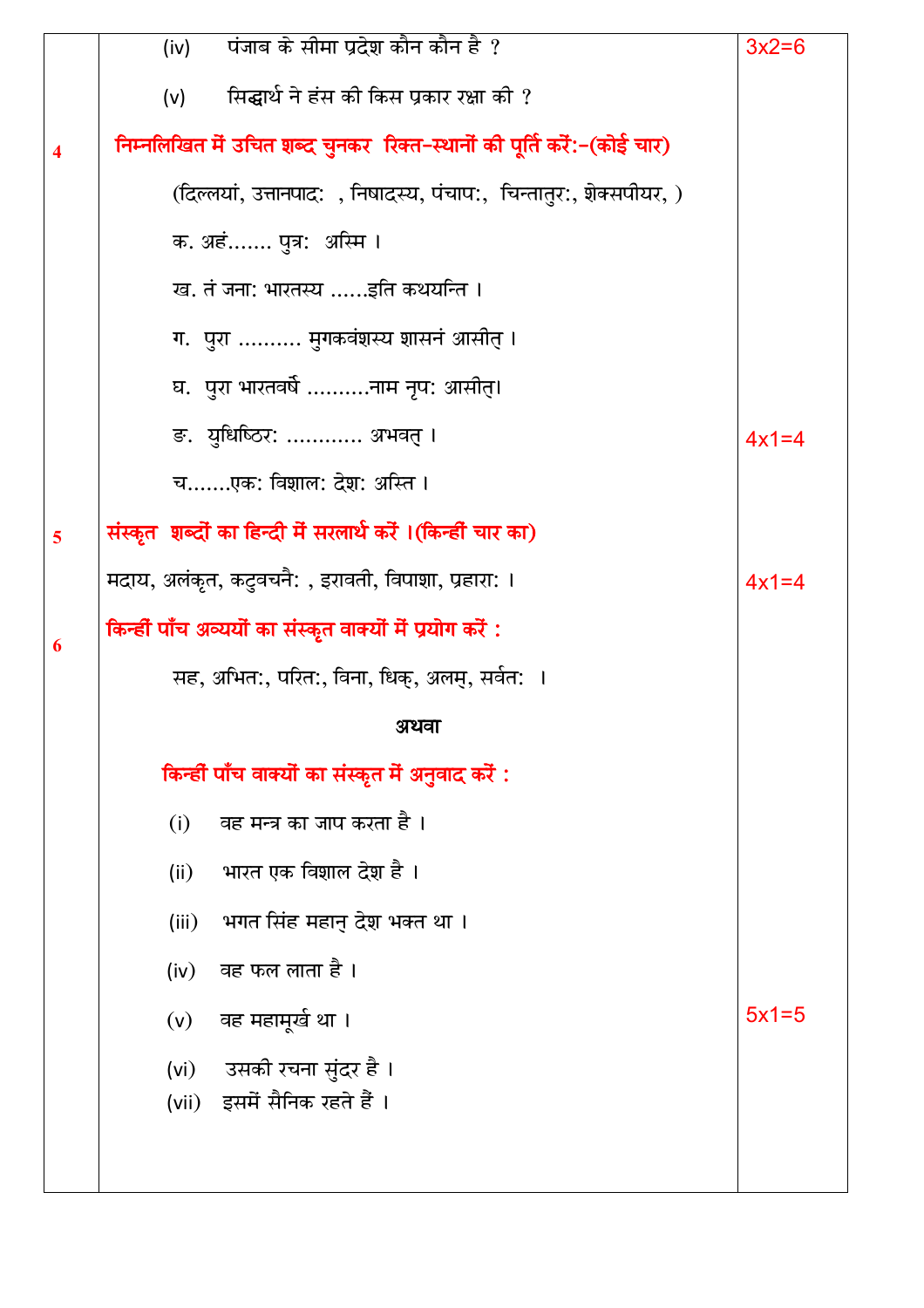|                         | पंजाब के सीमा प्रदेश कौन कौन है ?<br>(iv)                              | $3x2=6$ |
|-------------------------|------------------------------------------------------------------------|---------|
|                         | सिद्धार्थ ने हंस की किस प्रकार रक्षा की ?<br>(v)                       |         |
| $\overline{\mathbf{4}}$ | निम्नलिखित में उचित शब्द चुनकर रिक्त-स्थानों की पूर्ति करें:-(कोई चार) |         |
|                         | (दिल्लयां, उत्तानपाद: ), निषादस्य, पंचाप:,  चिन्तातुर:, शेक्सपीयर, )   |         |
|                         | क. अहं पुत्र:  अस्मि ।                                                 |         |
|                         | ख. तं जना: भारतस्य इति कथयन्ति ।                                       |         |
|                         | ग. पुरा  मुगकवंशस्य शासनं आसीत् ।                                      |         |
|                         | घ.  पुरा भारतवर्षे नाम नृप: आसीत्।                                     |         |
|                         | ङ. युधिष्ठिर:  अभवत् ।                                                 | $4x1=4$ |
|                         | चएक: विशाल: देश: अस्ति ।                                               |         |
| 5                       | संस्कृत  शब्दों का हिन्दी में सरलार्थ करें ।(किन्हीं चार का)           |         |
|                         | मदाय, अलंकृत, कटुवचनै: , इरावती, विपाशा, प्रहारा: ।                    | $4x1=4$ |
| 6                       | किन्हीं पाँच अव्ययों का संस्कृत वाक्यों में प्रयोग करें :              |         |
|                         | सह, अभित:, परित:, विना, धिक्, अलम्, सर्वत: ।                           |         |
|                         | अथवा                                                                   |         |
|                         | किन्हीं पाँच वाक्यों का संस्कृत में अनुवाद करें :                      |         |
|                         | (i) वह मन्त्र का जाप करता है ।                                         |         |
|                         | (ii) भारत एक विशाल देश है ।                                            |         |
|                         | (iii) भगत सिंह महानु देश भक्त था ।                                     |         |
|                         | (iv) वह फल लाता है।                                                    |         |
|                         | (v) वह महामूर्ख था ।                                                   | $5x1=5$ |
|                         | (vi) - उसकी रचना सुंदर है ।                                            |         |
|                         | (vii) इसमें सैनिक रहते हैं ।                                           |         |
|                         |                                                                        |         |
|                         |                                                                        |         |